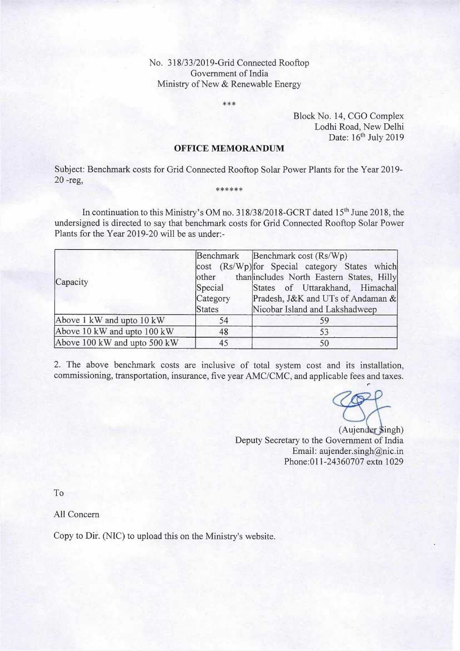## No. 318/33/2019-Grid Connected Rooftop Government of India Ministry of New & Renewable Energy

\*\*\*

Block No. 14, CGO Complex Lodhi Road, New Delhi Date: 16<sup>th</sup> July 2019

## **OFFICE MEMORANDUM**

Subject: Benchmark costs for Grid Connected Rooftop Solar Power Plants for the Year 2019- 20 -reg, \*\*\*\*\*\*

In continuation to this Ministry's OM no. 318/38/2018-GCRT dated 15<sup>th</sup> June 2018, the undersigned is directed to say that benchmark costs for Grid Connected Rooftop Solar Power Plants for the Year 2019-20 will be as under:-

| Capacity                     | other<br>Special<br>Category<br><b>States</b> | Benchmark Benchmark cost (Rs/Wp)<br>cost (Rs/Wp) for Special category States which<br>than includes North Eastern States, Hilly<br>States of Uttarakhand, Himachal<br>Pradesh, J&K and UTs of Andaman &<br>Nicobar Island and Lakshadweep |
|------------------------------|-----------------------------------------------|-------------------------------------------------------------------------------------------------------------------------------------------------------------------------------------------------------------------------------------------|
| Above 1 kW and upto 10 kW    | 54                                            | 59                                                                                                                                                                                                                                        |
| Above 10 kW and upto 100 kW  | 48                                            | 53                                                                                                                                                                                                                                        |
| Above 100 kW and upto 500 kW | 45                                            | 50                                                                                                                                                                                                                                        |

2. The above benchmark costs are inclusive of total system cost and its installation, commissioning, transportation, insurance, five year AMC/CMC, and applicable fees and taxes. ,.

(Aujender Singh) Deputy Secretary to the Government of India Email: aujender.singh@nic.in Phone: 011-24360707 extn 1029

To

All Concern

Copy to Dir. (NIC) to upload this on the Ministry's website.